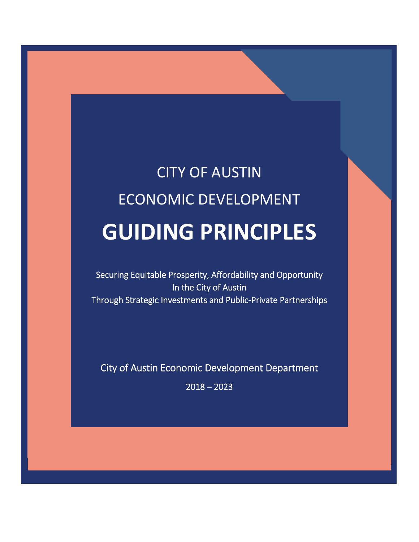# CITY OF AUSTIN ECONOMIC DEVELOPMENT **GUIDING PRINCIPLES**

i<br>I

Securing Equitable Prosperity, Affordability and Opportunity In the City of Austin Through Strategic Investments and Public‐Private Partnerships

City of Austin Economic Development Department

 $2018 - 2023$ 

֦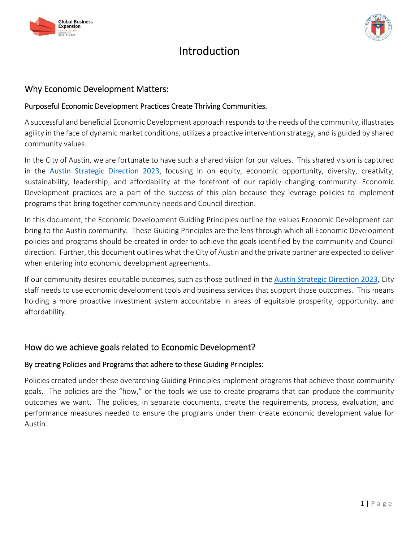



# Introduction

# Why Economic Development Matters:

# Purposeful Economic Development Practices Create Thriving Communities.

A successful and beneficial Economic Development approach respondsto the needs of the community, illustrates agility in the face of dynamic market conditions, utilizes a proactive intervention strategy, and is guided by shared community values.

In the City of Austin, we are fortunate to have such a shared vision for our values. This shared vision is captured in the Austin Strategic Direction 2023, focusing in on equity, economic opportunity, diversity, creativity, sustainability, leadership, and affordability at the forefront of our rapidly changing community. Economic Development practices are a part of the success of this plan because they leverage policies to implement programs that bring together community needs and Council direction.

In this document, the Economic Development Guiding Principles outline the values Economic Development can bring to the Austin community. These Guiding Principles are the lens through which all Economic Development policies and programs should be created in order to achieve the goals identified by the community and Council direction. Further, this document outlines what the City of Austin and the private partner are expected to deliver when entering into economic development agreements.

If our community desires equitable outcomes, such as those outlined in the Austin Strategic Direction 2023, City staff needs to use economic development tools and business services that support those outcomes. This means holding a more proactive investment system accountable in areas of equitable prosperity, opportunity, and affordability.

# How do we achieve goals related to Economic Development?

# By creating Policies and Programs that adhere to these Guiding Principles:

Policies created under these overarching Guiding Principles implement programs that achieve those community goals. The policies are the "how," or the tools we use to create programs that can produce the community outcomes we want. The policies, in separate documents, create the requirements, process, evaluation, and performance measures needed to ensure the programs under them create economic development value for Austin.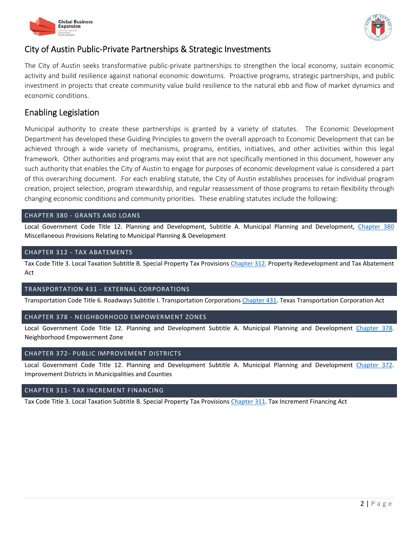



# City of Austin Public‐Private Partnerships & Strategic Investments

The City of Austin seeks transformative public-private partnerships to strengthen the local economy, sustain economic activity and build resilience against national economic downturns. Proactive programs, strategic partnerships, and public investment in projects that create community value build resilience to the natural ebb and flow of market dynamics and economic conditions.

# Enabling Legislation

Municipal authority to create these partnerships is granted by a variety of statutes. The Economic Development Department has developed these Guiding Principles to govern the overall approach to Economic Development that can be achieved through a wide variety of mechanisms, programs, entities, initiatives, and other activities within this legal framework. Other authorities and programs may exist that are not specifically mentioned in this document, however any such authority that enables the City of Austin to engage for purposes of economic development value is considered a part of this overarching document. For each enabling statute, the City of Austin establishes processes for individual program creation, project selection, program stewardship, and regular reassessment of those programs to retain flexibility through changing economic conditions and community priorities. These enabling statutes include the following:

#### CHAPTER 380 ‐ GRANTS AND LOANS

Local Government Code Title 12. Planning and Development, Subtitle A. Municipal Planning and Development, Chapter 380 Miscellaneous Provisions Relating to Municipal Planning & Development

#### CHAPTER 312 ‐ TAX ABATEMENTS

Tax Code Title 3. Local Taxation Subtitle B. Special Property Tax Provisions Chapter 312. Property Redevelopment and Tax Abatement Act

#### TRANSPORTATION 431 ‐ EXTERNAL CORPORATIONS

Transportation Code Title 6. Roadways Subtitle I. Transportation Corporations Chapter 431. Texas Transportation Corporation Act

#### CHAPTER 378 ‐ NEIGHBORHOOD EMPOWERMENT ZONES

Local Government Code Title 12. Planning and Development Subtitle A. Municipal Planning and Development Chapter 378. Neighborhood Empowerment Zone

#### CHAPTER 372‐ PUBLIC IMPROVEMENT DISTRICTS

Local Government Code Title 12. Planning and Development Subtitle A. Municipal Planning and Development Chapter 372. Improvement Districts in Municipalities and Counties

#### CHAPTER 311‐ TAX INCREMENT FINANCING

Tax Code Title 3. Local Taxation Subtitle B. Special Property Tax Provisions Chapter 311. Tax Increment Financing Act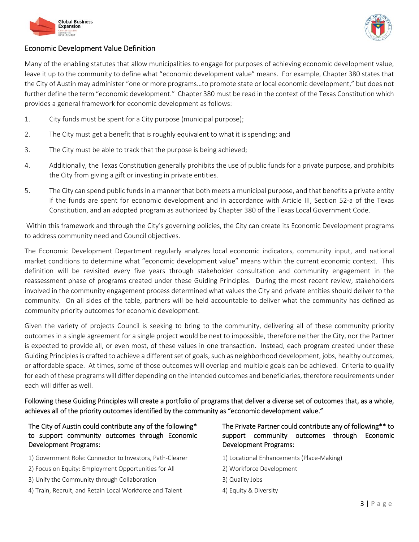



#### Economic Development Value Definition

Many of the enabling statutes that allow municipalities to engage for purposes of achieving economic development value, leave it up to the community to define what "economic development value" means. For example, Chapter 380 states that the City of Austin may administer "one or more programs…to promote state or local economic development," but does not further define the term "economic development." Chapter 380 must be read in the context of the Texas Constitution which provides a general framework for economic development as follows:

- 1. City funds must be spent for a City purpose (municipal purpose);
- 2. The City must get a benefit that is roughly equivalent to what it is spending; and
- 3. The City must be able to track that the purpose is being achieved;
- 4. Additionally, the Texas Constitution generally prohibits the use of public funds for a private purpose, and prohibits the City from giving a gift or investing in private entities.
- 5. The City can spend public funds in a manner that both meets a municipal purpose, and that benefits a private entity if the funds are spent for economic development and in accordance with Article III, Section 52‐a of the Texas Constitution, and an adopted program as authorized by Chapter 380 of the Texas Local Government Code.

Within this framework and through the City's governing policies, the City can create its Economic Development programs to address community need and Council objectives.

The Economic Development Department regularly analyzes local economic indicators, community input, and national market conditions to determine what "economic development value" means within the current economic context. This definition will be revisited every five years through stakeholder consultation and community engagement in the reassessment phase of programs created under these Guiding Principles. During the most recent review, stakeholders involved in the community engagement process determined what values the City and private entities should deliver to the community. On all sides of the table, partners will be held accountable to deliver what the community has defined as community priority outcomes for economic development.

Given the variety of projects Council is seeking to bring to the community, delivering all of these community priority outcomes in a single agreement for a single project would be next to impossible, therefore neither the City, nor the Partner is expected to provide all, or even most, of these values in one transaction. Instead, each program created under these Guiding Principles is crafted to achieve a different set of goals, such as neighborhood development, jobs, healthy outcomes, or affordable space. At times, some of those outcomes will overlap and multiple goals can be achieved. Criteria to qualify for each of these programs will differ depending on the intended outcomes and beneficiaries, therefore requirements under each will differ as well.

Following these Guiding Principles will create a portfolio of programs that deliver a diverse set of outcomes that, as a whole, achieves all of the priority outcomes identified by the community as "economic development value."

| The City of Austin could contribute any of the following*<br>to support community outcomes through Economic<br>Development Programs: | The Private Partner could contribute any of following** to<br>through<br>outcomes<br>Economic<br>community<br>support<br><b>Development Programs:</b> |
|--------------------------------------------------------------------------------------------------------------------------------------|-------------------------------------------------------------------------------------------------------------------------------------------------------|
| 1) Government Role: Connector to Investors, Path-Clearer                                                                             | 1) Locational Enhancements (Place-Making)                                                                                                             |
| 2) Focus on Equity: Employment Opportunities for All                                                                                 | 2) Workforce Development                                                                                                                              |
| 3) Unify the Community through Collaboration                                                                                         | 3) Quality Jobs                                                                                                                                       |
| 4) Train, Recruit, and Retain Local Workforce and Talent                                                                             | 4) Equity & Diversity                                                                                                                                 |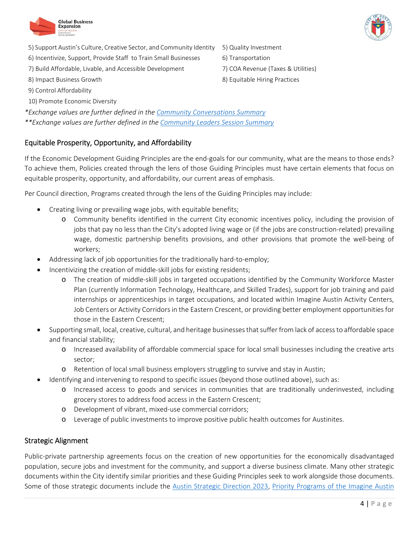



- 5) Support Austin's Culture, Creative Sector, and Community Identity 5) Quality Investment
- 6) Incentivize, Support, Provide Staff to Train Small Businesses 6) Transportation
- 7) Build Affordable, Livable, and Accessible Development 7) COA Revenue (Taxes & Utilities)
- 
- 9) Control Affordability
- 10) Promote Economic Diversity

*\*Exchange values are further defined in the Community Conversations Summary \*\*Exchange values are further defined in the Community Leaders Session Summary*

# Equitable Prosperity, Opportunity, and Affordability

If the Economic Development Guiding Principles are the end-goals for our community, what are the means to those ends? To achieve them, Policies created through the lens of those Guiding Principles must have certain elements that focus on equitable prosperity, opportunity, and affordability, our current areas of emphasis.

Per Council direction, Programs created through the lens of the Guiding Principles may include:

- Creating living or prevailing wage jobs, with equitable benefits;
	- o Community benefits identified in the current City economic incentives policy, including the provision of jobs that pay no less than the City's adopted living wage or (if the jobs are construction-related) prevailing wage, domestic partnership benefits provisions, and other provisions that promote the well‐being of workers;
- Addressing lack of job opportunities for the traditionally hard-to-employ;
- Incentivizing the creation of middle-skill jobs for existing residents;
	- o The creation of middle‐skill jobs in targeted occupations identified by the Community Workforce Master Plan (currently Information Technology, Healthcare, and Skilled Trades), support for job training and paid internships or apprenticeships in target occupations, and located within Imagine Austin Activity Centers, Job Centers or Activity Corridors in the Eastern Crescent, or providing better employment opportunitiesfor those in the Eastern Crescent;
- Supporting small, local, creative, cultural, and heritage businesses that suffer from lack of access to affordable space and financial stability;
	- o Increased availability of affordable commercial space for local small businesses including the creative arts sector;
	- o Retention of local small business employers struggling to survive and stay in Austin;
- Identifying and intervening to respond to specific issues (beyond those outlined above), such as:
	- o Increased access to goods and services in communities that are traditionally underinvested, including grocery stores to address food access in the Eastern Crescent;
	- o Development of vibrant, mixed‐use commercial corridors;
	- o Leverage of public investments to improve positive public health outcomes for Austinites.

# Strategic Alignment

Public‐private partnership agreements focus on the creation of new opportunities for the economically disadvantaged population, secure jobs and investment for the community, and support a diverse business climate. Many other strategic documents within the City identify similar priorities and these Guiding Principles seek to work alongside those documents. Some of those strategic documents include the Austin Strategic Direction 2023, Priority Programs of the Imagine Austin

- 
- 8) Impact Business Growth 8) Equitable Hiring Practices